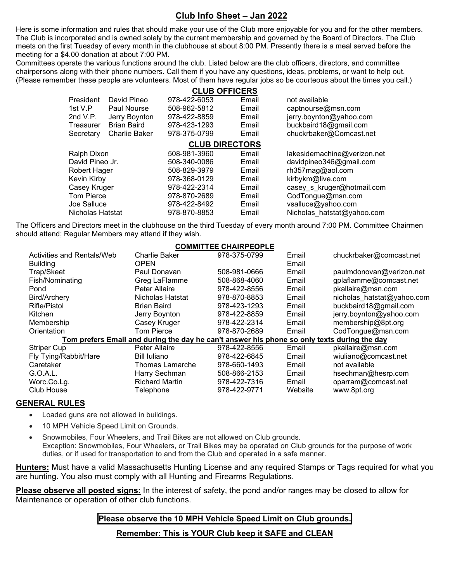# **Club Info Sheet – Jan 2022**

Here is some information and rules that should make your use of the Club more enjoyable for you and for the other members. The Club is incorporated and is owned solely by the current membership and governed by the Board of Directors. The Club meets on the first Tuesday of every month in the clubhouse at about 8:00 PM. Presently there is a meal served before the meeting for a \$4.00 donation at about 7:00 PM.

Committees operate the various functions around the club. Listed below are the club officers, directors, and committee chairpersons along with their phone numbers. Call them if you have any questions, ideas, problems, or want to help out. (Please remember these people are volunteers. Most of them have regular jobs so be courteous about the times you call.)

| <b>CLUB OFFICERS</b>  |                      |              |       |                             |  |  |  |  |  |
|-----------------------|----------------------|--------------|-------|-----------------------------|--|--|--|--|--|
| President             | David Pineo          | 978-422-6053 | Email | not available               |  |  |  |  |  |
| 1st V.P               | Paul Nourse          | 508-962-5812 | Email | captnourse@msn.com          |  |  |  |  |  |
| 2nd $V.P.$            | Jerry Boynton        | 978-422-8859 | Email | jerry.boynton@yahoo.com     |  |  |  |  |  |
| Treasurer             | <b>Brian Baird</b>   | 978-423-1293 | Email | buckbaird18@gmail.com       |  |  |  |  |  |
| Secretary             | <b>Charlie Baker</b> | 978-375-0799 | Email | chuckrbaker@Comcast.net     |  |  |  |  |  |
| <b>CLUB DIRECTORS</b> |                      |              |       |                             |  |  |  |  |  |
| Ralph Dixon           |                      | 508-981-3960 | Email | lakesidemachine@verizon.net |  |  |  |  |  |
| David Pineo Jr.       |                      | 508-340-0086 | Email | davidpineo346@gmail.com     |  |  |  |  |  |
| Robert Hager          |                      | 508-829-3979 | Email | rh357mag@aol.com            |  |  |  |  |  |
| Kevin Kirby           |                      | 978-368-0129 | Email | kirbykm@live.com            |  |  |  |  |  |
| Casey Kruger          |                      | 978-422-2314 | Email | casey s kruger@hotmail.com  |  |  |  |  |  |
| <b>Tom Pierce</b>     |                      | 978-870-2689 | Email | CodTongue@msn.com           |  |  |  |  |  |
| Joe Salluce           |                      | 978-422-8492 | Email | vsalluce@yahoo.com          |  |  |  |  |  |
| Nicholas Hatstat      |                      | 978-870-8853 | Email | Nicholas hatstat@yahoo.com  |  |  |  |  |  |

The Officers and Directors meet in the clubhouse on the third Tuesday of every month around 7:00 PM. Committee Chairmen should attend; Regular Members may attend if they wish.

## **COMMITTEE CHAIRPEOPLE**

| Activities and Rentals/Web                                                                  | Charlie Baker         | 978-375-0799 | Email   | chuckrbaker@comcast.net    |  |  |  |
|---------------------------------------------------------------------------------------------|-----------------------|--------------|---------|----------------------------|--|--|--|
| <b>Building</b>                                                                             | <b>OPEN</b>           |              | Email   |                            |  |  |  |
| Trap/Skeet                                                                                  | Paul Donavan          | 508-981-0666 | Email   | paulmdonovan@verizon.net   |  |  |  |
| Fish/Nominating                                                                             | Greg LaFlamme         | 508-868-4060 | Email   | gplaflamme@comcast.net     |  |  |  |
| Pond                                                                                        | Peter Allaire         | 978-422-8556 | Email   | pkallaire@msn.com          |  |  |  |
| <b>Bird/Archery</b>                                                                         | Nicholas Hatstat      | 978-870-8853 | Email   | nicholas_hatstat@yahoo.com |  |  |  |
| Rifle/Pistol                                                                                | <b>Brian Baird</b>    | 978-423-1293 | Email   | buckbaird18@gmail.com      |  |  |  |
| Kitchen                                                                                     | Jerry Boynton         | 978-422-8859 | Email   | jerry.boynton@yahoo.com    |  |  |  |
| Membership                                                                                  | Casey Kruger          | 978-422-2314 | Email   | membership@8pt.org         |  |  |  |
| Orientation                                                                                 | <b>Tom Pierce</b>     | 978-870-2689 | Email   | CodTongue@msn.com          |  |  |  |
| Tom prefers Email and during the day he can't answer his phone so only texts during the day |                       |              |         |                            |  |  |  |
| <b>Striper Cup</b>                                                                          | Peter Allaire         | 978-422-8556 | Email   | pkallaire@msn.com          |  |  |  |
| Fly Tying/Rabbit/Hare                                                                       | <b>Bill Iuliano</b>   | 978-422-6845 | Email   | wiuliano@comcast.net       |  |  |  |
| Caretaker                                                                                   | Thomas Lamarche       | 978-660-1493 | Email   | not available              |  |  |  |
| G.O.A.L.                                                                                    | Harry Sechman         | 508-866-2153 | Email   | hsechman@hesrp.com         |  |  |  |
| Worc.Co.Lg.                                                                                 | <b>Richard Martin</b> | 978-422-7316 | Email   | oparram@comcast.net        |  |  |  |
| Club House                                                                                  | Telephone             | 978-422-9771 | Website | www.8pt.org                |  |  |  |
|                                                                                             |                       |              |         |                            |  |  |  |

#### **GENERAL RULES**

- Loaded guns are not allowed in buildings.
- 10 MPH Vehicle Speed Limit on Grounds.
- Snowmobiles, Four Wheelers, and Trail Bikes are not allowed on Club grounds. Exception: Snowmobiles, Four Wheelers, or Trail Bikes may be operated on Club grounds for the purpose of work duties, or if used for transportation to and from the Club and operated in a safe manner.

**Hunters:** Must have a valid Massachusetts Hunting License and any required Stamps or Tags required for what you are hunting. You also must comply with all Hunting and Firearms Regulations.

**Please observe all posted signs:** In the interest of safety, the pond and/or ranges may be closed to allow for Maintenance or operation of other club functions.

### **Please observe the 10 MPH Vehicle Speed Limit on Club grounds.**

**Remember: This is YOUR Club keep it SAFE and CLEAN**